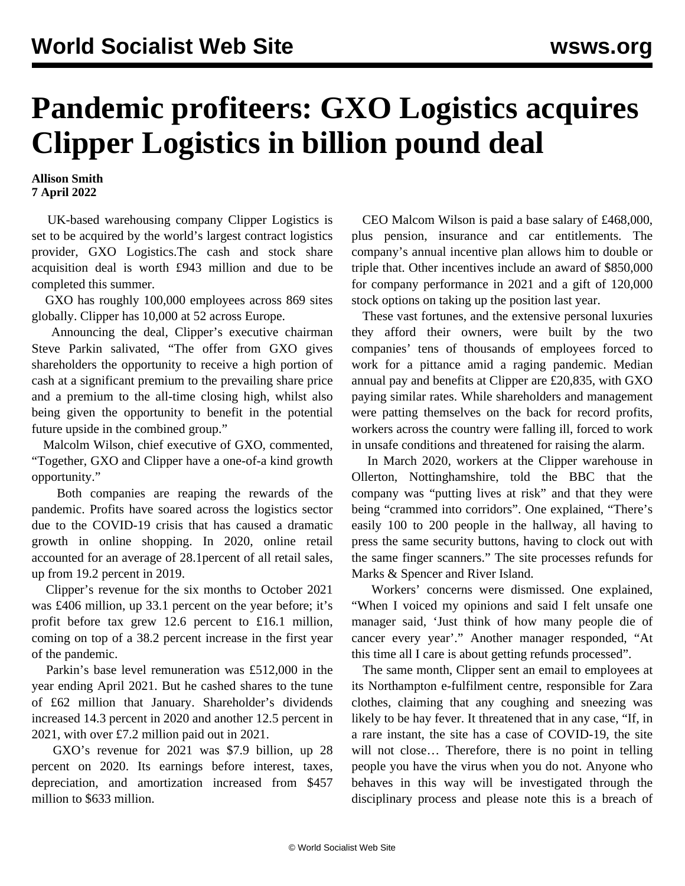## **Pandemic profiteers: GXO Logistics acquires Clipper Logistics in billion pound deal**

**Allison Smith 7 April 2022**

 UK-based warehousing company Clipper Logistics is set to be acquired by the world's largest contract logistics provider, GXO Logistics.The cash and stock share acquisition deal is worth £943 million and due to be completed this summer.

 GXO has roughly 100,000 employees across 869 sites globally. Clipper has 10,000 at 52 across Europe.

 Announcing the deal, Clipper's executive chairman Steve Parkin salivated, "The offer from GXO gives shareholders the opportunity to receive a high portion of cash at a significant premium to the prevailing share price and a premium to the all-time closing high, whilst also being given the opportunity to benefit in the potential future upside in the combined group."

 Malcolm Wilson, chief executive of GXO, commented, "Together, GXO and Clipper have a one-of-a kind growth opportunity."

 Both companies are reaping the rewards of the pandemic. Profits have soared across the logistics sector due to the COVID-19 crisis that has caused a dramatic growth in online shopping. In 2020, online retail accounted for an average of 28.1percent of all retail sales, up from 19.2 percent in 2019.

 Clipper's revenue for the six months to October 2021 was £406 million, up 33.1 percent on the year before; it's profit before tax grew 12.6 percent to £16.1 million, coming on top of a 38.2 percent increase in the first year of the pandemic.

 Parkin's base level remuneration was £512,000 in the year ending April 2021. But he cashed shares to the tune of £62 million that January. Shareholder's dividends increased 14.3 percent in 2020 and another 12.5 percent in 2021, with over £7.2 million paid out in 2021.

 GXO's revenue for 2021 was \$7.9 billion, up 28 percent on 2020. Its earnings before interest, taxes, depreciation, and amortization increased from \$457 million to \$633 million.

 CEO Malcom Wilson is paid a base salary of £468,000, plus pension, insurance and car entitlements. The company's annual incentive plan allows him to double or triple that. Other incentives include an award of \$850,000 for company performance in 2021 and a gift of 120,000 stock options on taking up the position last year.

 These vast fortunes, and the extensive personal luxuries they afford their owners, were built by the two companies' tens of thousands of employees forced to work for a pittance amid a raging pandemic. Median annual pay and benefits at Clipper are £20,835, with GXO paying similar rates. While shareholders and management were patting themselves on the back for record profits, workers across the country were falling ill, forced to work in unsafe conditions and threatened for raising the alarm.

 In March 2020, workers at the Clipper warehouse in Ollerton, Nottinghamshire, told the BBC that the company was "putting lives at risk" and that they were being "crammed into corridors". One explained, "There's easily 100 to 200 people in the hallway, all having to press the same security buttons, having to clock out with the same finger scanners." The site processes refunds for Marks & Spencer and River Island.

 Workers' concerns were dismissed. One explained, "When I voiced my opinions and said I felt unsafe one manager said, 'Just think of how many people die of cancer every year'." Another manager responded, "At this time all I care is about getting refunds processed".

 The same month, Clipper sent an email to employees at its Northampton e-fulfilment centre, responsible for Zara clothes, claiming that any coughing and sneezing was likely to be hay fever. It threatened that in any case, "If, in a rare instant, the site has a case of COVID-19, the site will not close… Therefore, there is no point in telling people you have the virus when you do not. Anyone who behaves in this way will be investigated through the disciplinary process and please note this is a breach of